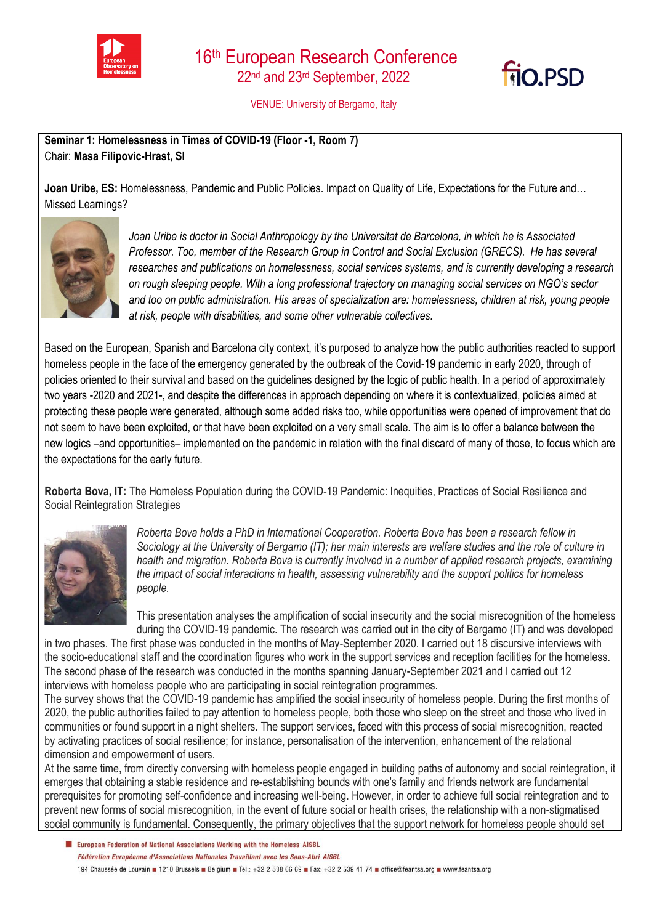



VENUE: University of Bergamo, Italy

**Seminar 1: Homelessness in Times of COVID-19 (Floor -1, Room 7)**  Chair: **Masa Filipovic-Hrast, SI**

**Joan Uribe, ES:** Homelessness, Pandemic and Public Policies. Impact on Quality of Life, Expectations for the Future and… Missed Learnings?



*Joan Uribe is doctor in Social Anthropology by the Universitat de Barcelona, in which he is Associated Professor. Too, member of the Research Group in Control and Social Exclusion (GRECS). He has several researches and publications on homelessness, social services systems, and is currently developing a research on rough sleeping people. With a long professional trajectory on managing social services on NGO's sector and too on public administration. His areas of specialization are: homelessness, children at risk, young people at risk, people with disabilities, and some other vulnerable collectives.*

Based on the European, Spanish and Barcelona city context, it's purposed to analyze how the public authorities reacted to support homeless people in the face of the emergency generated by the outbreak of the Covid-19 pandemic in early 2020, through of policies oriented to their survival and based on the quidelines designed by the logic of public health. In a period of approximately two years -2020 and 2021-, and despite the differences in approach depending on where it is contextualized, policies aimed at protecting these people were generated, although some added risks too, while opportunities were opened of improvement that do not seem to have been exploited, or that have been exploited on a very small scale. The aim is to offer a balance between the new logics –and opportunities– implemented on the pandemic in relation with the final discard of many of those, to focus which are the expectations for the early future.

**Roberta Bova, IT:** The Homeless Population during the COVID-19 Pandemic: Inequities, Practices of Social Resilience and Social Reintegration Strategies



*Roberta Bova holds a PhD in International Cooperation. Roberta Bova has been a research fellow in Sociology at the University of Bergamo (IT); her main interests are welfare studies and the role of culture in health and migration. Roberta Bova is currently involved in a number of applied research projects, examining the impact of social interactions in health, assessing vulnerability and the support politics for homeless people.*

This presentation analyses the amplification of social insecurity and the social misrecognition of the homeless during the COVID-19 pandemic. The research was carried out in the city of Bergamo (IT) and was developed

in two phases. The first phase was conducted in the months of May-September 2020. I carried out 18 discursive interviews with the socio-educational staff and the coordination figures who work in the support services and reception facilities for the homeless. The second phase of the research was conducted in the months spanning January-September 2021 and I carried out 12 interviews with homeless people who are participating in social reintegration programmes.

The survey shows that the COVID-19 pandemic has amplified the social insecurity of homeless people. During the first months of 2020, the public authorities failed to pay attention to homeless people, both those who sleep on the street and those who lived in communities or found support in a night shelters. The support services, faced with this process of social misrecognition, reacted by activating practices of social resilience; for instance, personalisation of the intervention, enhancement of the relational dimension and empowerment of users.

At the same time, from directly conversing with homeless people engaged in building paths of autonomy and social reintegration, it emerges that obtaining a stable residence and re-establishing bounds with one's family and friends network are fundamental prerequisites for promoting self-confidence and increasing well-being. However, in order to achieve full social reintegration and to prevent new forms of social misrecognition, in the event of future social or health crises, the relationship with a non-stigmatised social community is fundamental. Consequently, the primary objectives that the support network for homeless people should set

El European Federation of National Associations Working with the Homeless AISBL Fédération Européenne d'Associations Nationales Travaillant avec les Sans-Abri AISBL 194 Chaussée de Louvain = 1210 Brussels = Belgium = Tel.: +32 2 538 66 69 = Fax: +32 2 539 41 74 = office@feantsa.org = www.feantsa.org